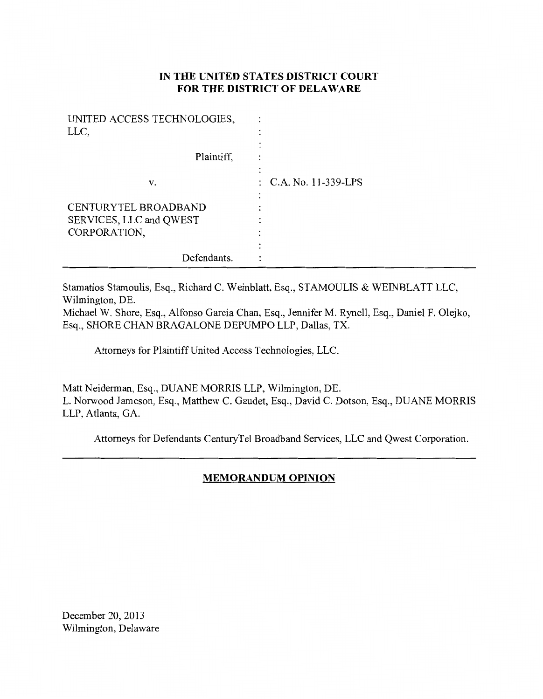# **IN THE UNITED STATES DISTRICT COURT FOR THE DISTRICT OF DELAWARE**

| UNITED ACCESS TECHNOLOGIES, |                       |
|-----------------------------|-----------------------|
| LLC,                        |                       |
|                             |                       |
| Plaintiff,                  |                       |
|                             |                       |
| v.                          | : C.A. No. 11-339-LPS |
|                             |                       |
| CENTURYTEL BROADBAND        |                       |
| SERVICES, LLC and QWEST     |                       |
| CORPORATION,                |                       |
|                             |                       |
| Defendants.                 |                       |

Stamatios Stamoulis, Esq., Richard C. Weinblatt, Esq., STAMOULIS & WEINBLATT LLC, Wilmington, DE.

Michael W. Shore, Esq., Alfonso Garcia Chan, Esq., Jennifer M. Rynell, Esq., Daniel F. Olejko, Esq., SHORE CHAN BRAGALONE DEPUMPO LLP, Dallas, TX.

Attorneys for Plaintiff United Access Technologies, LLC.

Matt Neiderman, Esq., DUANE MORRIS LLP, Wilmington, DE. L. Norwood Jameson, Esq., Matthew C. Gaudet, Esq., David C. Dotson, Esq., DUANE MORRIS LLP, Atlanta, GA.

Attorneys for Defendants CenturyTel Broadband Services, LLC and Qwest Corporation.

# **MEMORANDUM OPINION**

December 20, 2013 Wilmington, Delaware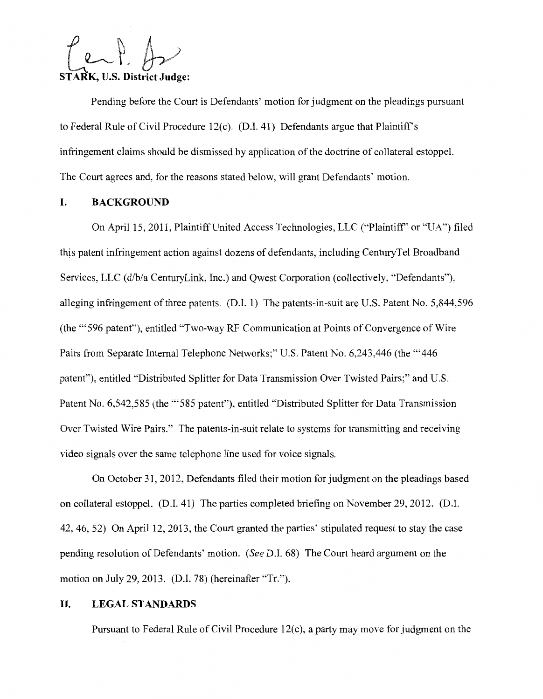**STARK, U.S. District Judge:** 

Pending before the Court is Defendants' motion for judgment on the pleadings pursuant to Federal Rule of Civil Procedure 12(c). (D.I. 41) Defendants argue that Plaintiff's infringement claims should be dismissed by application of the doctrine of collateral estoppel. The Court agrees and, for the reasons stated below, will grant Defendants' motion.

# **I. BACKGROUND**

On April 15, 2011, Plaintiff United Access Technologies, LLC ("Plaintiff" or "UA") filed this patent infringement action against dozens of defendants, including CenturyTel Broadband Services, LLC (d/b/a CenturyLink, Inc.) and Qwest Corporation (collectively, "Defendants"), alleging infringement of three patents. (D.I. 1) The patents-in-suit are U.S. Patent No. 5,844,596 (the "'596 patent"), entitled "Two-way RF Communication at Points of Convergence of Wire Pairs from Separate Internal Telephone Networks;" U.S. Patent No. 6,243,446 (the "'446 patent"), entitled "Distributed Splitter for Data Transmission Over Twisted Pairs;" and U.S. Patent No. 6,542,585 (the "'585 patent"), entitled "Distributed Splitter for Data Transmission Over Twisted Wire Pairs." The patents-in-suit relate to systems for transmitting and receiving video signals over the same telephone line used for voice signals.

On October 31, 2012, Defendants filed their motion for judgment on the pleadings based on collateral estoppel. (D.I. 41) The parties completed briefing on November 29, 2012. (D.I. 42, 46, 52) On April 12, 2013, the Court granted the parties' stipulated request to stay the case pending resolution of Defendants' motion. *(See* D.I. 68) The Court heard argument on the motion on July 29, 2013. (D.I. 78) (hereinafter "Tr.").

### **II. LEGALSTANDARDS**

Pursuant to Federal Rule of Civil Procedure 12(c), a party may move for judgment on the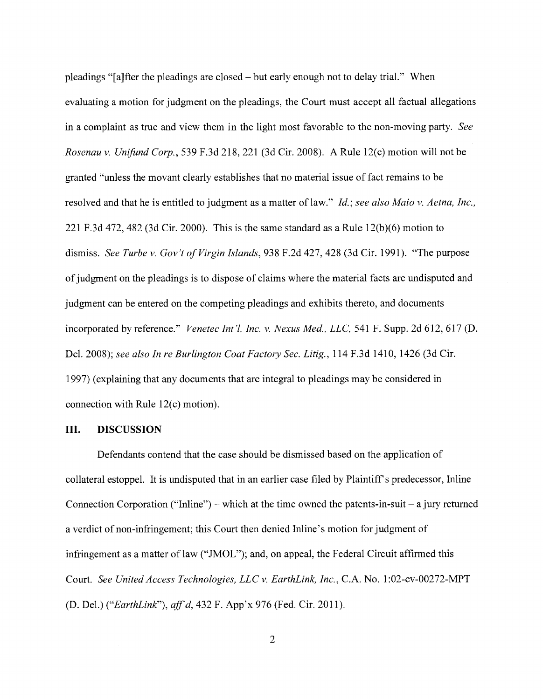pleadings "[a]fter the pleadings are closed- but early enough not to delay trial." When evaluating a motion for judgment on the pleadings, the Court must accept all factual allegations in a complaint as true and view them in the light most favorable to the non-moving party. *See Rosenau v. Unifund Corp.,* 539 F.3d 218,221 (3d Cir. 2008). A Rule 12(c) motion will not be granted "unless the movant clearly establishes that no material issue of fact remains to be resolved and that he is entitled to judgment as a matter of law." *Id.; see also Maio v. Aetna, Inc.*, 221 F.3d 472, 482 (3d Cir. 2000). This is the same standard as a Rule  $12(b)(6)$  motion to dismiss. *See Turbe v. Gov't of Virgin Islands,* 938 F.2d 427,428 (3d Cir. 1991). "The purpose of judgment on the pleadings is to dispose of claims where the material facts are undisputed and judgment can be entered on the competing pleadings and exhibits thereto, and documents incorporated by reference." *Venetec Int'l, Inc. v. Nexus Med., LLC,* 541 F. Supp. 2d 612, 617 (D. Del. 2008); *see also In re Burlington Coat Factory Sec. Litig.,* 114 F.3d 1410, 1426 (3d Cir. 1997) (explaining that any documents that are integral to pleadings may be considered in connection with Rule 12(c) motion).

#### **III. DISCUSSION**

Defendants contend that the case should be dismissed based on the application of collateral estoppel. It is undisputed that in an earlier case filed by Plaintiff's predecessor, Inline Connection Corporation ("Inline") – which at the time owned the patents-in-suit – a jury returned a verdict of non-infringement; this Court then denied Inline's motion for judgment of infringement as a matter of law ("JMOL"); and, on appeal, the Federal Circuit affirmed this Court. *See United Access Technologies, LLC v. EarthLink, Inc.,* C.A. No. 1 :02-cv-00272-MPT (D. Del.) *("EarthLink"), aff'd,* 432 F. App'x 976 (Fed. Cir. 2011).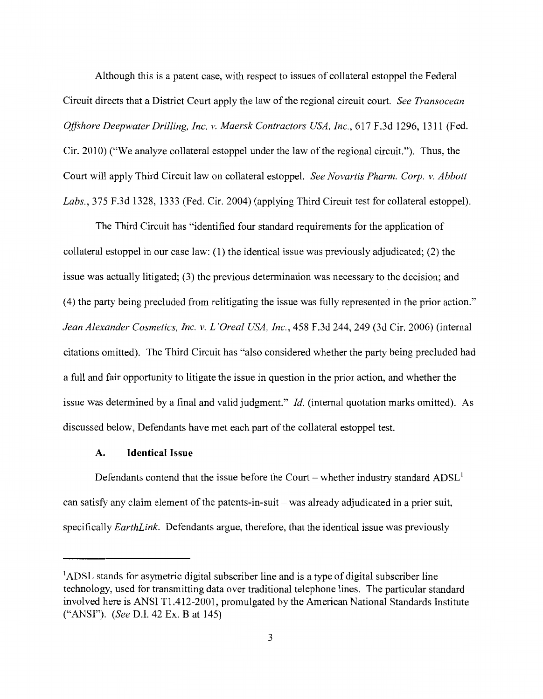Although this is a patent case, with respect to issues of collateral estoppel the Federal Circuit directs that a District Court apply the law of the regional circuit court. *See Transocean Offshore Deepwater Drilling, Inc. v. Maersk Contractors USA, Inc.,* 617 F.3d 1296, 1311 (Fed. Cir. 2010) ("We analyze collateral estoppel under the law of the regional circuit."). Thus, the Court will apply Third Circuit law on collateral estoppel. *See Novartis Pharm. Corp. v. Abbott Labs.,* 375 F.3d 1328, 1333 (Fed. Cir. 2004) (applying Third Circuit test for collateral estoppel).

The Third Circuit has "identified four standard requirements for the application of collateral estoppel in our case law: (1) the identical issue was previously adjudicated; (2) the issue was actually litigated; (3) the previous determination was necessary to the decision; and (4) the party being precluded from relitigating the issue was fully represented in the prior action." *Jean Alexander Cosmetics, Inc. v. L'Oreal USA, Inc.,* 458 F.3d 244, 249 (3d Cir. 2006) (internal citations omitted). The Third Circuit has "also considered whether the party being precluded had a full and fair opportunity to litigate the issue in question in the prior action, and whether the issue was determined by a final and valid judgment." *!d.* (internal quotation marks omitted). As discussed below, Defendants have met each part of the collateral estoppel test.

#### **A. Identical Issue**

Defendants contend that the issue before the Court – whether industry standard  $\text{ADSL}^1$ can satisfy any claim element of the patents-in-suit- was already adjudicated in a prior suit, specifically *EarthLink.* Defendants argue, therefore, that the identical issue was previously

<sup>&</sup>lt;sup>1</sup>ADSL stands for asymetric digital subscriber line and is a type of digital subscriber line technology, used for transmitting data over traditional telephone lines. The particular standard involved here is ANSI Tl.412-2001, promulgated by the American National Standards Institute ("ANSI"). *(See* D.I. 42 Ex. B at 145)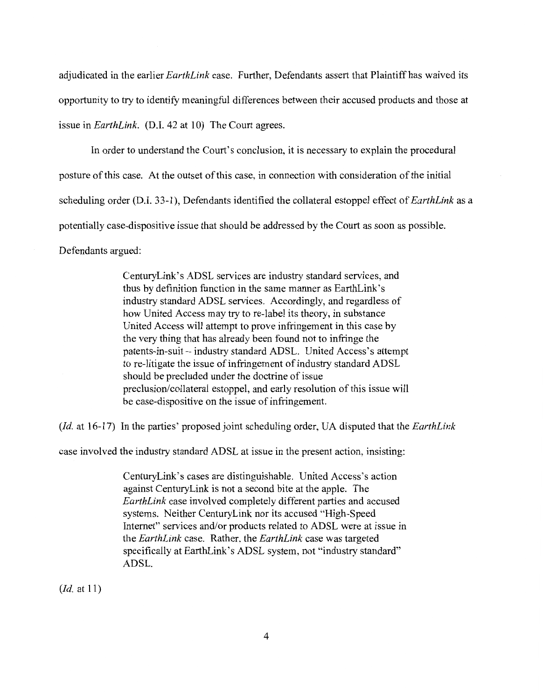adjudicated in the earlier *EarthLink* case. Further, Defendants assert that Plaintiffhas waived its opportunity to try to identify meaningful differences between their accused products and those at issue in *EarthLink.* (D.I. 42 at 10) The Court agrees.

In order to understand the Court's conclusion, it is necessary to explain the procedural posture of this case. At the outset of this case, in connection with consideration of the initial scheduling order (D.I. 33-1 ), Defendants identified the collateral estoppel effect of *EarthLink* as a potentially case-dispositive issue that should be addressed by the Court as soon as possible. Defendants argued:

> CenturyLink's ADSL services are industry standard services, and thus by definition function in the same manner as EarthLink's industry standard ADSL services. Accordingly, and regardless of how United Access may try to re-label its theory, in substance United Access will attempt to prove infringement in this case by the very thing that has already been found not to infringe the patents-in-suit - industry standard ADSL. United Access's attempt to re-litigate the issue of infringement of industry standard ADSL should be precluded under the doctrine of issue preclusion/collateral estoppel, and early resolution of this issue will be case-dispositive on the issue of infringement.

*(Id.* at 16-17) In the parties' proposed joint scheduling order, UA disputed that the *EarthLink* 

case involved the industry standard ADSL at issue in the present action, insisting:

CenturyLink's cases are distinguishable. United Access's action against CenturyLink is not a second bite at the apple. The *EarthLink* case involved completely different parties and accused systems. Neither CenturyLink nor its accused "High-Speed Internet" services and/or products related to ADSL were at issue in the *EarthLink* case. Rather, the *EarthLink* case was targeted specifically at EarthLink's ADSL system, not "industry standard" ADSL.

*(!d.* at 11)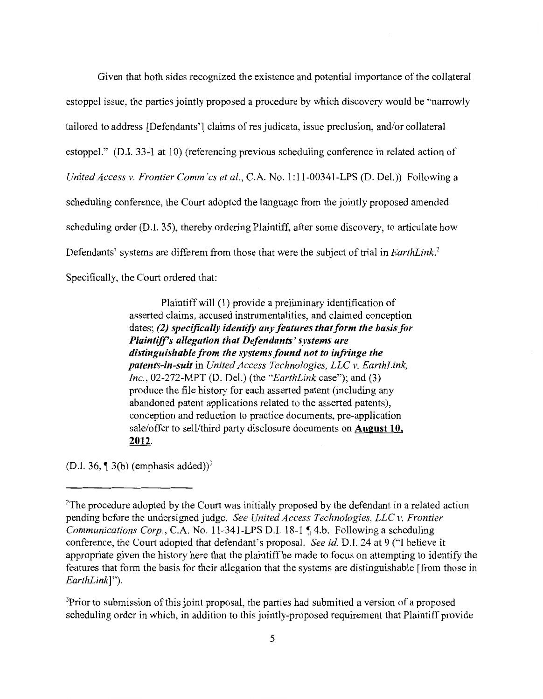Given that both sides recognized the existence and potential importance of the collateral estoppel issue, the parties jointly proposed a procedure by which discovery would be "narrowly tailored to address [Defendants'] claims of res judicata, issue preclusion, and/or collateral estoppel." (D.I. 33-1 at 10) (referencing previous scheduling conference in related action of *United Access v. Frontier Comm'cs et al., C.A. No.* 1:11-00341-LPS (D. Del.)) Following a scheduling conference, the Court adopted the language from the jointly proposed amended scheduling order (D.I. 35), thereby ordering Plaintiff, after some discovery, to articulate how Defendants' systems are different from those that were the subject of trial in *EarthLink?*  Specifically, the Court ordered that:

> Plaintiffwill (1) provide a preliminary identification of asserted claims, accused instrumentalities, and claimed conception dates; (2) specifically identify any features that form the basis for *Plaintiffs allegation that Defendants' systems are distinguishable from the systems found not to infringe the patents-in-suit* in *United Access Technologies, LLC v. EarthLink, Inc.,* 02-272-MPT (D. Del.) (the *"EarthLink* case"); and (3) produce the file history for each asserted patent (including any abandoned patent applications related to the asserted patents), conception and reduction to practice documents, pre-application sale/offer to sell/third party disclosure documents on August 10, 2012.

(D.I. 36,  $\P$  3(b) (emphasis added))<sup>3</sup>

<sup>3</sup>Prior to submission of this joint proposal, the parties had submitted a version of a proposed scheduling order in which, in addition to this jointly-proposed requirement that Plaintiff provide

<sup>&</sup>lt;sup>2</sup>The procedure adopted by the Court was initially proposed by the defendant in a related action pending before the undersigned judge. *See United Access Technologies, LLC v. Frontier Communications Corp., C.A. No.* 11-341-LPS D.I. 18-1 ¶ 4.b. Following a scheduling conference, the Court adopted that defendant's proposal. *See id.* D.I. 24 at 9 ("I believe it appropriate given the history here that the plaintiff be made to focus on attempting to identify the features that form the basis for their allegation that the systems are distinguishable [from those in *EarthLink]").*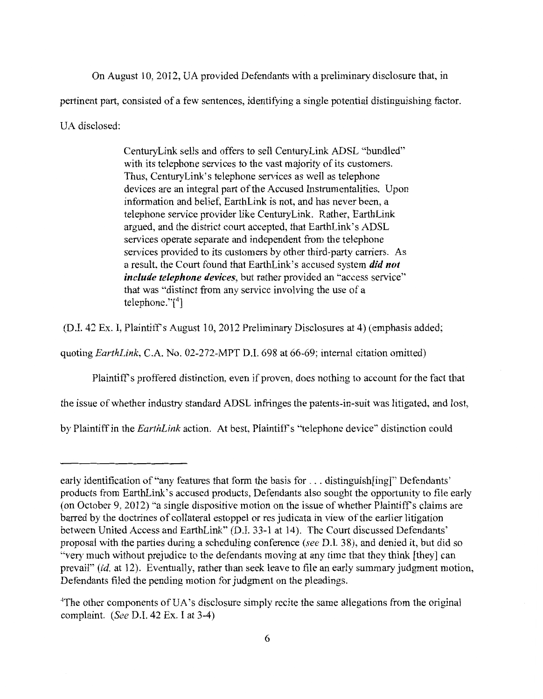On August 10, 2012, UA provided Defendants with a preliminary disclosure that, in pertinent part, consisted of a few sentences, identifying a single potential distinguishing factor. UA disclosed:

> CenturyLink sells and offers to sell CenturyLink ADSL "bundled" with its telephone services to the vast majority of its customers. Thus, CenturyLink's telephone services as well as telephone devices are an integral part of the Accused Instrumentalities. Upon information and belief, EarthLink is not, and has never been, a telephone service provider like CenturyLink. Rather, EarthLink argued, and the district court accepted, that EarthLink's ADSL services operate separate and independent from the telephone services provided to its customers by other third-party carriers. As a result, the Court found that EarthLink's accused system *did not include telephone devices,* but rather provided an "access service" that was "distinct from any service involving the use of a telephone."[<sup>4</sup> ]

(D.I. 42 Ex. I, Plaintiffs August 10, 2012 Preliminary Disclosures at 4) (emphasis added;

quoting *EarthLink,* C.A. No. 02-272-MPT D.l. 698 at 66-69; internal citation omitted)

Plaintiff's proffered distinction, even if proven, does nothing to account for the fact that

the issue of whether industry standard ADSL infringes the patents-in-suit was litigated, and lost,

by Plaintiff in the *EarthLink* action. At best, Plaintiffs "telephone device" distinction could

early identification of "any features that form the basis for ... distinguish [ing]" Defendants' products from EarthLink's accused products, Defendants also sought the opportunity to file early (on October 9, 2012) "a single dispositive motion on the issue of whether Plaintiff's claims are barred by the doctrines of collateral estoppel or res judicata in view of the earlier litigation between United Access and EarthLink" (D.l. 33-1 at 14). The Court discussed Defendants' proposal with the parties during a scheduling conference *(see* D.I. 38), and denied it, but did so "very much without prejudice to the defendants moving at any time that they think [they] can prevail" *(id.* at 12). Eventually, rather than seek leave to file an early summary judgment motion, Defendants filed the pending motion for judgment on the pleadings.

<sup>&</sup>lt;sup>4</sup>The other components of UA's disclosure simply recite the same allegations from the original complaint. (See D.l. 42 Ex. I at 3-4)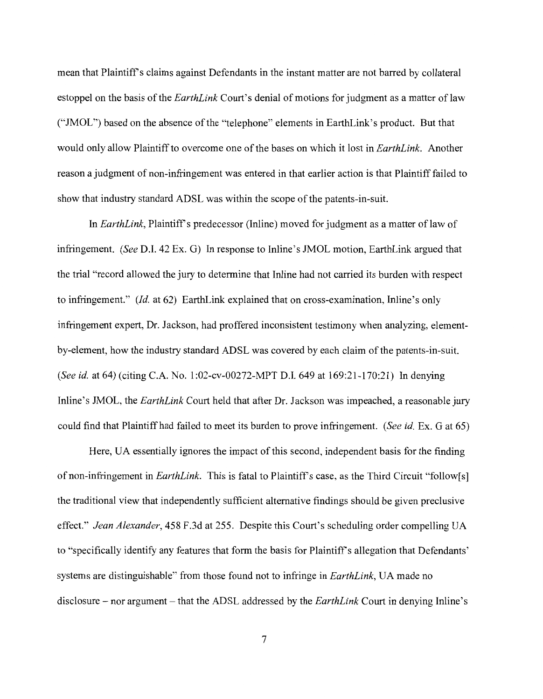mean that Plaintiffs claims against Defendants in the instant matter are not barred by collateral estoppel on the basis of the *EarthLink* Court's denial of motions for judgment as a matter of law ("JMOL") based on the absence of the "telephone" elements in EarthLink's product. But that would only allow Plaintiff to overcome one of the bases on which it lost in *EarthLink.* Another reason a judgment of non-infringement was entered in that earlier action is that Plaintiff failed to show that industry standard ADSL was within the scope of the patents-in-suit.

In *EarthLink*, Plaintiff's predecessor (Inline) moved for judgment as a matter of law of infringement. (See D.l. 42 Ex. G) In response to Inline's JMOL motion, EarthLink argued that the trial "record allowed the jury to determine that Inline had not carried its burden with respect to infringement."  $(Id.$  at 62) EarthLink explained that on cross-examination, Inline's only infringement expert, Dr. Jackson, had proffered inconsistent testimony when analyzing, elementby-element, how the industry standard ADSL was covered by each claim of the patents-in-suit. *(See id.* at 64) (citing C.A. No. 1 :02-cv-00272-MPT D.l. 649 at 169:21-170:21) In denying Inline's JMOL, the *EarthLink* Court held that after Dr. Jackson was impeached, a reasonable jury could find that Plaintiffhad failed to meet its burden to prove infringement. *(See id.* Ex. Gat 65)

Here, UA essentially ignores the impact of this second, independent basis for the finding of non-infringement in *EarthLink*. This is fatal to Plaintiff's case, as the Third Circuit "follow[s] the traditional view that independently sufficient alternative findings should be given preclusive effect." *Jean Alexander,* 458 F.3d at 255. Despite this Court's scheduling order compelling UA to "specifically identify any features that form the basis for Plaintiff's allegation that Defendants' systems are distinguishable" from those found not to infringe in *EarthLink,* UA made no disclosure – nor argument – that the ADSL addressed by the *EarthLink* Court in denying Inline's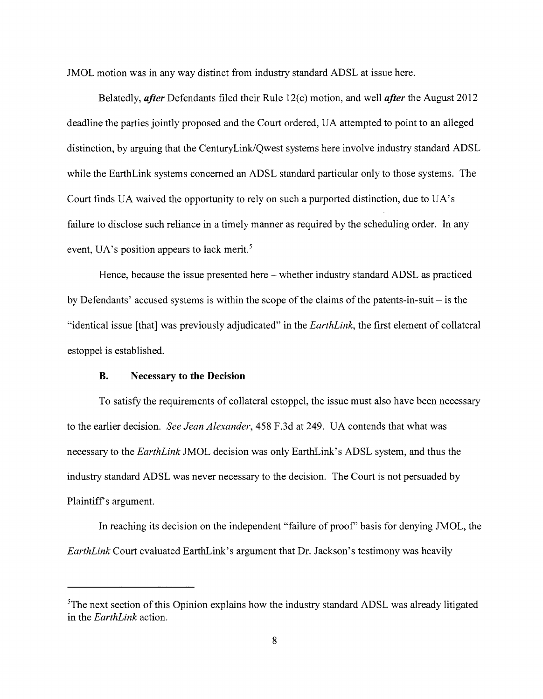JMOL motion was in any way distinct from industry standard ADSL at issue here.

Belatedly, *after* Defendants filed their Rule 12( c) motion, and well *after* the August 2012 deadline the parties jointly proposed and the Court ordered, UA attempted to point to an alleged distinction, by arguing that the CenturyLink/Qwest systems here involve industry standard ADSL while the EarthLink systems concerned an ADSL standard particular only to those systems. The Court finds UA waived the opportunity to rely on such a purported distinction, due to UA's failure to disclose such reliance in a timely manner as required by the scheduling order. In any event, UA's position appears to lack merit.<sup>5</sup>

Hence, because the issue presented here – whether industry standard ADSL as practiced by Defendants' accused systems is within the scope of the claims of the patents-in-suit  $-$  is the "identical issue [that] was previously adjudicated" in the *EarthLink,* the first element of collateral estoppel is established.

#### **B.** Necessary **to the Decision**

To satisfy the requirements of collateral estoppel, the issue must also have been necessary to the earlier decision. *See Jean Alexander,* 458 F.3d at 249. UA contends that what was necessary to the *EarthLink* JMOL decision was only EarthLink's ADSL system, and thus the industry standard ADSL was never necessary to the decision. The Court is not persuaded by Plaintiff's argument.

In reaching its decision on the independent "failure of proof' basis for denying JMOL, the *EarthLink* Court evaluated EarthLink's argument that Dr. Jackson's testimony was heavily

<sup>&</sup>lt;sup>5</sup>The next section of this Opinion explains how the industry standard ADSL was already litigated in the *EarthLink* action.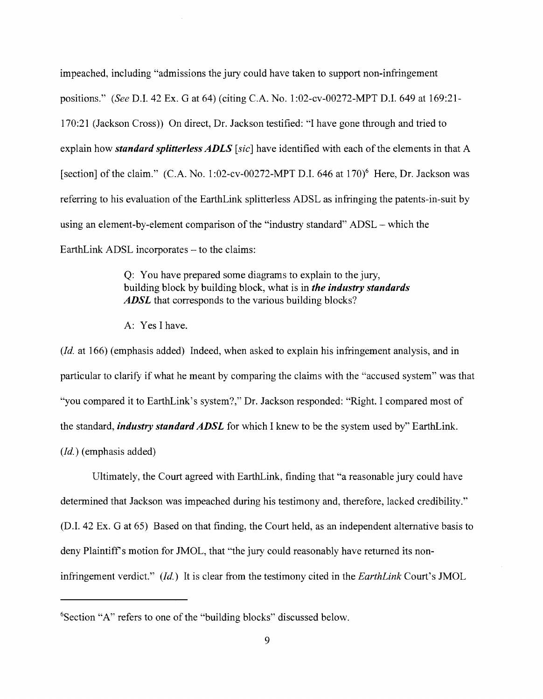impeached, including "admissions the jury could have taken to support non-infringement positions." *(See* D.I. 42 Ex. Gat 64) (citing C.A. No. 1:02-cv-00272-MPT D.I. 649 at 169:21- 170:21 (Jackson Cross)) On direct, Dr. Jackson testified: "I have gone through and tried to explain how *standard splitterless ADLS [sic]* have identified with each of the elements in that A [section] of the claim."  $(C.A. No. 1:02-cv-00272-MPT D.I. 646$  at  $170)^6$  Here, Dr. Jackson was referring to his evaluation of the EarthLink splitterless ADSL as infringing the patents-in-suit by using an element-by-element comparison of the "industry standard" ADSL- which the EarthLink ADSL incorporates – to the claims:

> Q: You have prepared some diagrams to explain to the jury, building block by building block, what is in *the industry standards*  ADSL that corresponds to the various building blocks?

A: Yes I have.

 $(Id. at 166)$  (emphasis added) Indeed, when asked to explain his infringement analysis, and in particular to clarify if what he meant by comparing the claims with the "accused system" was that "you compared it to EarthLink's system?," Dr. Jackson responded: "Right. I compared most of the standard, *industry standard ADSL* for which I knew to be the system used by" EarthLink.  $(Id.)$  (emphasis added)

Ultimately, the Court agreed with EarthLink, finding that "a reasonable jury could have determined that Jackson was impeached during his testimony and, therefore, lacked credibility." (D.I. 42 Ex. Gat 65) Based on that finding, the Court held, as an independent alternative basis to deny Plaintiff's motion for JMOL, that "the jury could reasonably have returned its noninfringement verdict." (*Id.*) It is clear from the testimony cited in the *EarthLink* Court's JMOL

<sup>6</sup> Section "A" refers to one of the "building blocks" discussed below.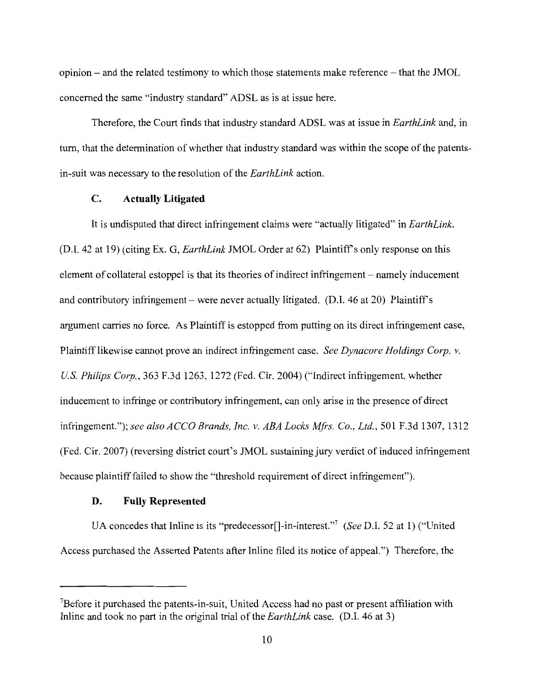$opinion-$  and the related testimony to which those statements make reference  $-$  that the JMOL concerned the same "industry standard" ADSL as is at issue here.

Therefore, the Court finds that industry standard ADSL was at issue in *EarthLink* and, in tum, that the determination of whether that industry standard was within the scope of the patentsin-suit was necessary to the resolution of the *EarthLink* action.

#### **C. Actually Litigated**

It is undisputed that direct infringement claims were "actually litigated" in *EarthLink.*  (D.I. 42 at 19) (citing Ex. G, *EarthLink* JMOL Order at 62) Plaintiffs only response on this element of collateral estoppel is that its theories of indirect infringement - namely inducement and contributory infringement – were never actually litigated. (D.I. 46 at 20) Plaintiff's argument carries no force. As Plaintiff is estopped from putting on its direct infringement case, Plaintiff likewise cannot prove an indirect infringement case. *See Dynacore Holdings Corp. v. US. Philips Corp.,* 363 F.3d 1263, 1272 (Fed. Cir. 2004) ("Indirect infringement, whether inducement to infringe or contributory infringement, can only arise in the presence of direct infringement."); *see also ACCO Brands, Inc. v. ABA Locks Mfrs. Co., Ltd.,* 501 F.3d 1307, 1312 (Fed. Cir. 2007) (reversing district court's JMOL sustaining jury verdict of induced infringement because plaintiff failed to show the "threshold requirement of direct infringement").

# **D. Fully Represented**

UA concedes that Inline is its "predecessor<sup>[]</sup>-in-interest."<sup>7</sup> (See D.I. 52 at 1) ("United Access purchased the Asserted Patents after Inline filed its notice of appeal.") Therefore, the

<sup>&</sup>lt;sup>7</sup>Before it purchased the patents-in-suit, United Access had no past or present affiliation with Inline and took no part in the original trial of the *EarthLink* case. (D.I. 46 at 3)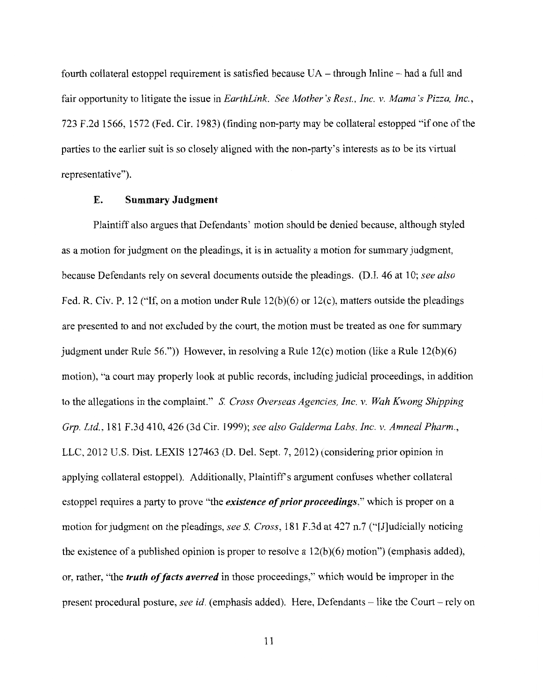fourth collateral estoppel requirement is satisfied because UA- through Inline- had a full and fair opportunity to litigate the issue in *EarthLink. See Mother's Rest., Inc. v. Mama's Pizza, Inc.,*  723 F.2d 1566, 1572 (Fed. Cir. 1983) (finding non-party may be collateral estopped "if one ofthe parties to the earlier suit is so closely aligned with the non-party's interests as to be its virtual representative").

### E. Summary Judgment

Plaintiff also argues that Defendants' motion should be denied because, although styled as a motion for judgment on the pleadings, it is in actuality a motion for summary judgment, because Defendants rely on several documents outside the pleadings. (D.I. 46 at 10; *see also*  Fed. R. Civ. P. 12 ("If, on a motion under Rule 12(b)(6) or 12(c), matters outside the pleadings are presented to and not excluded by the court, the motion must be treated as one for summary judgment under Rule 56.")) However, in resolving a Rule 12(c) motion (like a Rule 12(b)(6) motion), "a court may properly look at public records, including judicial proceedings, in addition to the allegations in the complaint." S. *Cross Overseas Agencies, Inc. v. Wah Kwong Shipping Grp. Ltd.,* 181 F.3d 410,426 (3d Cir. 1999); *see also Galderma Labs. Inc. v. Amneal Pharm.,*  LLC, 2012 U.S. Dist. LEXIS 127463 (D. Del. Sept. 7, 2012) (considering prior opinion in applying collateral estoppel). Additionally, Plaintiff's argument confuses whether collateral estoppel requires a party to prove "the *existence of prior proceedings*," which is proper on a motion for judgment on the pleadings, *seeS. Cross,* 181 F.3d at 427 n.7 ("[J]udicially noticing the existence of a published opinion is proper to resolve a  $12(b)(6)$  motion") (emphasis added), or, rather, "the *truth of facts averred* in those proceedings," which would be improper in the present procedural posture, *see id.* (emphasis added). Here, Defendants – like the Court – rely on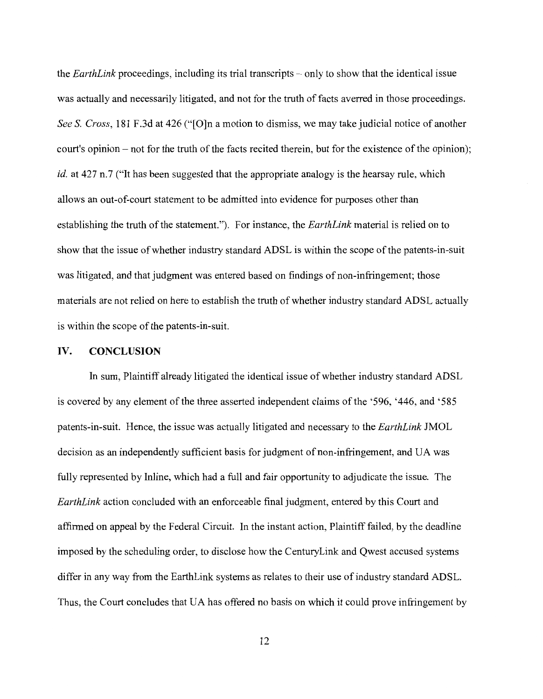the *EarthLink* proceedings, including its trial transcripts- only to show that the identical issue was actually and necessarily litigated, and not for the truth of facts averred in those proceedings. *See S. Cross,* 181 F.3d at 426 ("[O]n a motion to dismiss, we may take judicial notice of another court's opinion- not for the truth of the facts recited therein, but for the existence of the opinion); *id.* at 427 n.7 ("It has been suggested that the appropriate analogy is the hearsay rule, which allows an out-of-court statement to be admitted into evidence for purposes other than establishing the truth of the statement."). For instance, the *EarthLink* material is relied on to show that the issue of whether industry standard ADSL is within the scope of the patents-in-suit was litigated, and that judgment was entered based on findings of non-infringement; those materials are not relied on here to establish the truth of whether industry standard ADSL actually is within the scope of the patents-in-suit.

#### IV. **CONCLUSION**

In sum, Plaintiff already litigated the identical issue of whether industry standard ADSL is covered by any element of the three asserted independent claims ofthe '596, '446, and '585 patents-in-suit. Hence, the issue was actually litigated and necessary to the *EarthLink* JMOL decision as an independently sufficient basis for judgment of non-infringement, and UA was fully represented by Inline, which had a full and fair opportunity to adjudicate the issue. The *EarthLink* action concluded with an enforceable final judgment, entered by this Court and affirmed on appeal by the Federal Circuit. In the instant action, Plaintiff failed, by the deadline imposed by the scheduling order, to disclose how the CenturyLink and Qwest accused systems differ in any way from the EarthLink systems as relates to their use of industry standard ADSL. Thus, the Court concludes that UA has offered no basis on which it could prove infringement by

12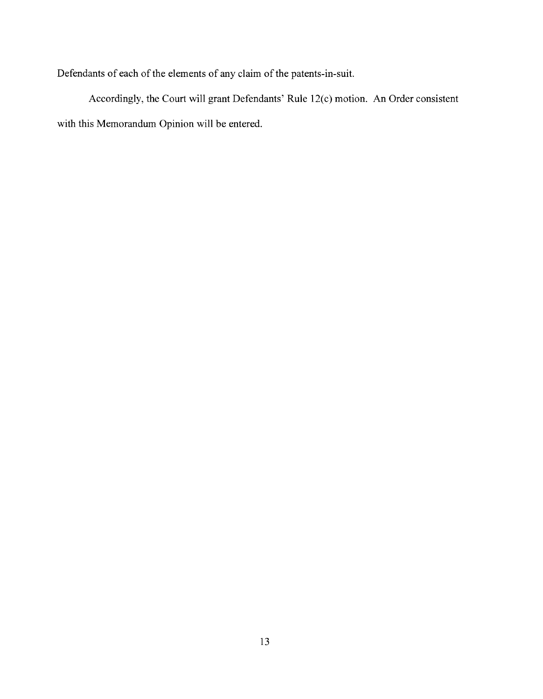Defendants of each of the elements of any claim of the patents-in-suit.

Accordingly, the Court will grant Defendants' Rule 12(c) motion. An Order consistent with this Memorandum Opinion will be entered.